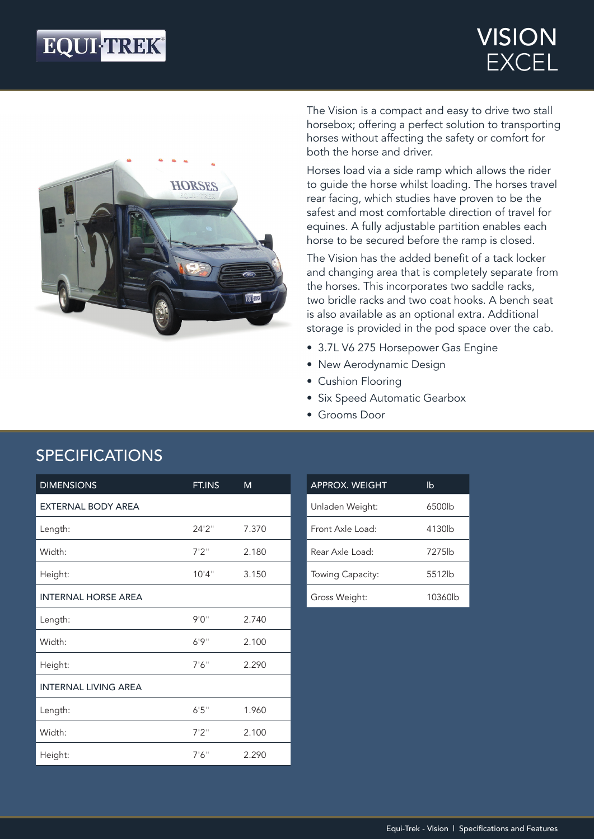## **EQUI-TREK®**

### VISION **EXCEL**



The Vision is a compact and easy to drive two stall horsebox; offering a perfect solution to transporting horses without affecting the safety or comfort for both the horse and driver.

Horses load via a side ramp which allows the rider to guide the horse whilst loading. The horses travel rear facing, which studies have proven to be the safest and most comfortable direction of travel for equines. A fully adjustable partition enables each horse to be secured before the ramp is closed.

The Vision has the added benefit of a tack locker and changing area that is completely separate from the horses. This incorporates two saddle racks, two bridle racks and two coat hooks. A bench seat is also available as an optional extra. Additional storage is provided in the pod space over the cab.

- 3.7L V6 275 Horsepower Gas Engine
- New Aerodynamic Design
- Cushion Flooring
- Six Speed Automatic Gearbox
- Grooms Door

| <b>DIMENSIONS</b>           | FT.INS | м     |
|-----------------------------|--------|-------|
| <b>EXTERNAL BODY AREA</b>   |        |       |
| Length:                     | 24'2"  | 7.370 |
| Width:                      | 7'2''  | 2.180 |
| Height:                     | 10'4"  | 3.150 |
| <b>INTERNAL HORSE AREA</b>  |        |       |
| Length:                     | 9'0''  | 2.740 |
| Width:                      | 6'9''  | 2.100 |
| Height:                     | 7'6''  | 2.290 |
| <b>INTERNAL LIVING AREA</b> |        |       |
| Length:                     | 6'5''  | 1.960 |
| Width:                      | 7'2''  | 2.100 |
| Height:                     | 7'6''  | 2.290 |

| <b>APPROX. WEIGHT</b> | lb      |
|-----------------------|---------|
| Unladen Weight:       | 6500lb  |
| Eront Axle Load:      | 4130lb  |
| Rear Axle Load:       | 7275lb  |
| Towing Capacity:      | 5512lb  |
| Gross Weight:         | 10360lb |

#### SPECIFICATIONS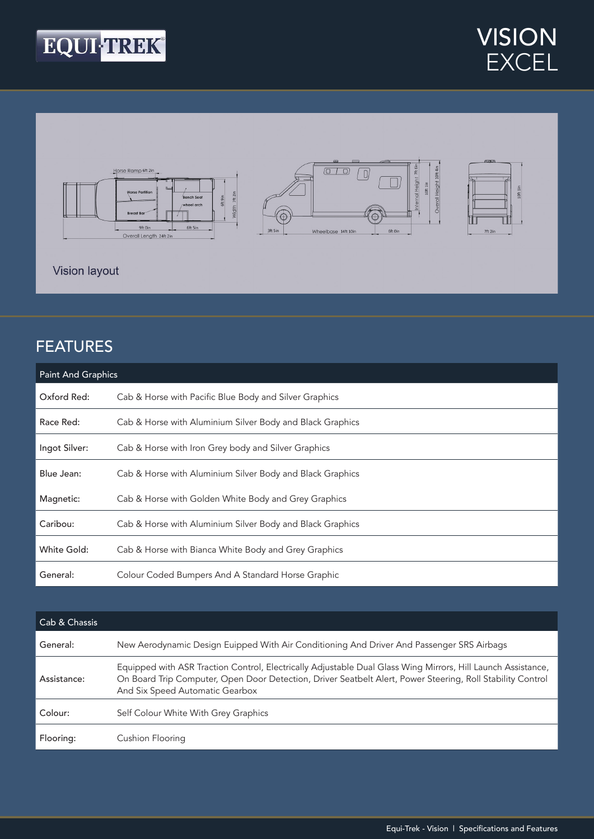





#### FEATURES

| <b>Paint And Graphics</b> |                                                           |  |
|---------------------------|-----------------------------------------------------------|--|
| Oxford Red:               | Cab & Horse with Pacific Blue Body and Silver Graphics    |  |
| Race Red:                 | Cab & Horse with Aluminium Silver Body and Black Graphics |  |
| Ingot Silver:             | Cab & Horse with Iron Grey body and Silver Graphics       |  |
| Blue Jean:                | Cab & Horse with Aluminium Silver Body and Black Graphics |  |
| Magnetic:                 | Cab & Horse with Golden White Body and Grey Graphics      |  |
| Caribou:                  | Cab & Horse with Aluminium Silver Body and Black Graphics |  |
| White Gold:               | Cab & Horse with Bianca White Body and Grey Graphics      |  |
| General:                  | Colour Coded Bumpers And A Standard Horse Graphic         |  |

| Cab & Chassis |                                                                                                                                                                                                                                                               |
|---------------|---------------------------------------------------------------------------------------------------------------------------------------------------------------------------------------------------------------------------------------------------------------|
| General:      | New Aerodynamic Design Euipped With Air Conditioning And Driver And Passenger SRS Airbags                                                                                                                                                                     |
| Assistance:   | Equipped with ASR Traction Control, Electrically Adjustable Dual Glass Wing Mirrors, Hill Launch Assistance,<br>On Board Trip Computer, Open Door Detection, Driver Seatbelt Alert, Power Steering, Roll Stability Control<br>And Six Speed Automatic Gearbox |
| Colour:       | Self Colour White With Grey Graphics                                                                                                                                                                                                                          |
| Flooring:     | Cushion Flooring                                                                                                                                                                                                                                              |